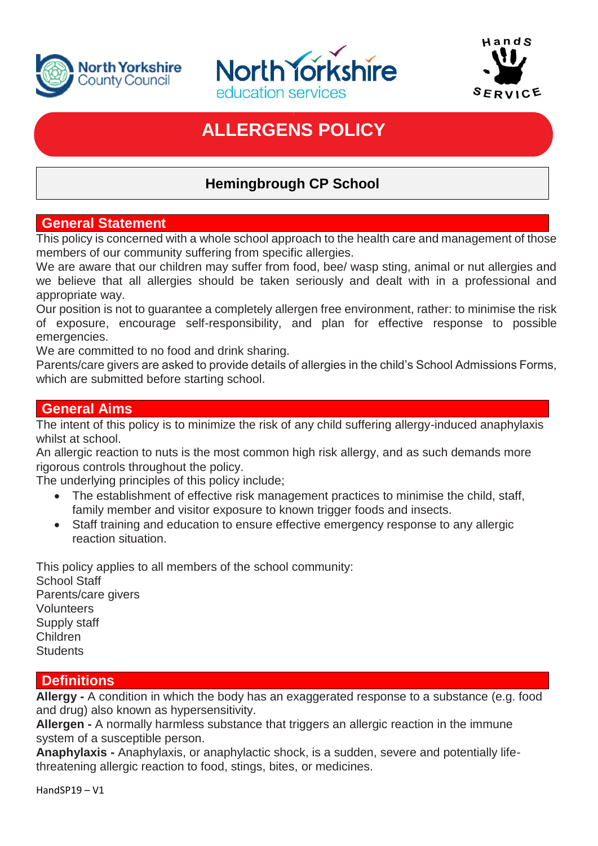





# **ALLERGENS POLICY**

# **Hemingbrough CP School**

### **General Statement**

This policy is concerned with a whole school approach to the health care and management of those members of our community suffering from specific allergies.

We are aware that our children may suffer from food, bee/ wasp sting, animal or nut allergies and we believe that all allergies should be taken seriously and dealt with in a professional and appropriate way.

Our position is not to guarantee a completely allergen free environment, rather: to minimise the risk of exposure, encourage self-responsibility, and plan for effective response to possible emergencies.

We are committed to no food and drink sharing.

Parents/care givers are asked to provide details of allergies in the child's School Admissions Forms, which are submitted before starting school.

### **General Aims**

The intent of this policy is to minimize the risk of any child suffering allergy-induced anaphylaxis whilst at school.

An allergic reaction to nuts is the most common high risk allergy, and as such demands more rigorous controls throughout the policy.

The underlying principles of this policy include;

- The establishment of effective risk management practices to minimise the child, staff, family member and visitor exposure to known trigger foods and insects.
- Staff training and education to ensure effective emergency response to any allergic reaction situation.

This policy applies to all members of the school community: School Staff Parents/care givers Volunteers Supply staff Children **Students** 

# **Definitions**

**Allergy -** A condition in which the body has an exaggerated response to a substance (e.g. food and drug) also known as hypersensitivity.

**Allergen -** A normally harmless substance that triggers an allergic reaction in the immune system of a susceptible person.

**Anaphylaxis -** Anaphylaxis, or anaphylactic shock, is a sudden, severe and potentially lifethreatening allergic reaction to food, stings, bites, or medicines.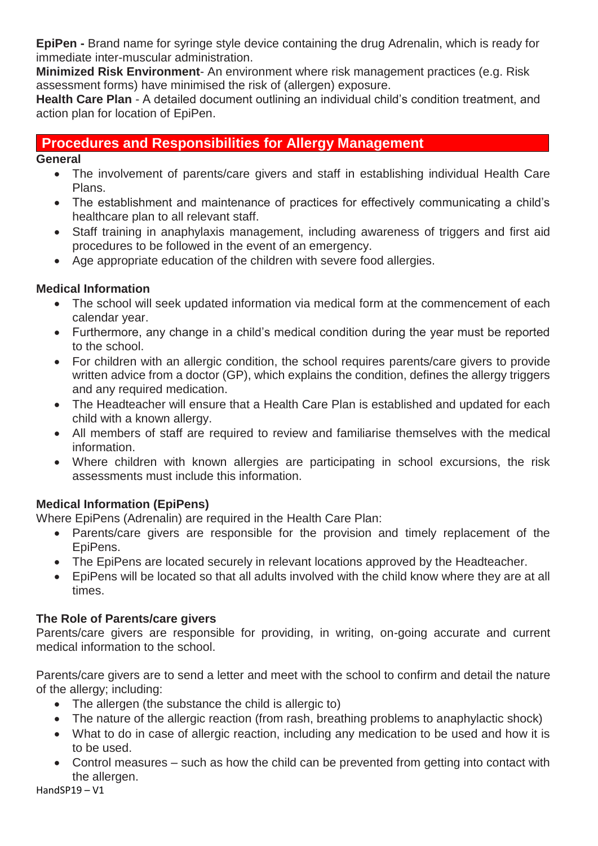**EpiPen -** Brand name for syringe style device containing the drug Adrenalin, which is ready for immediate inter-muscular administration.

**Minimized Risk Environment**- An environment where risk management practices (e.g. Risk assessment forms) have minimised the risk of (allergen) exposure.

**Health Care Plan** - A detailed document outlining an individual child's condition treatment, and action plan for location of EpiPen.

# **Procedures and Responsibilities for Allergy Management**

**General** 

- The involvement of parents/care givers and staff in establishing individual Health Care Plans.
- The establishment and maintenance of practices for effectively communicating a child's healthcare plan to all relevant staff.
- Staff training in anaphylaxis management, including awareness of triggers and first aid procedures to be followed in the event of an emergency.
- Age appropriate education of the children with severe food allergies.

### **Medical Information**

- The school will seek updated information via medical form at the commencement of each calendar year.
- Furthermore, any change in a child's medical condition during the year must be reported to the school.
- For children with an allergic condition, the school requires parents/care givers to provide written advice from a doctor (GP), which explains the condition, defines the allergy triggers and any required medication.
- The Headteacher will ensure that a Health Care Plan is established and updated for each child with a known allergy.
- All members of staff are required to review and familiarise themselves with the medical information.
- Where children with known allergies are participating in school excursions, the risk assessments must include this information.

# **Medical Information (EpiPens)**

Where EpiPens (Adrenalin) are required in the Health Care Plan:

- Parents/care givers are responsible for the provision and timely replacement of the EpiPens.
- The EpiPens are located securely in relevant locations approved by the Headteacher.
- EpiPens will be located so that all adults involved with the child know where they are at all times.

#### **The Role of Parents/care givers**

Parents/care givers are responsible for providing, in writing, on-going accurate and current medical information to the school.

Parents/care givers are to send a letter and meet with the school to confirm and detail the nature of the allergy; including:

- The allergen (the substance the child is allergic to)
- The nature of the allergic reaction (from rash, breathing problems to anaphylactic shock)
- What to do in case of allergic reaction, including any medication to be used and how it is to be used.
- Control measures such as how the child can be prevented from getting into contact with the allergen.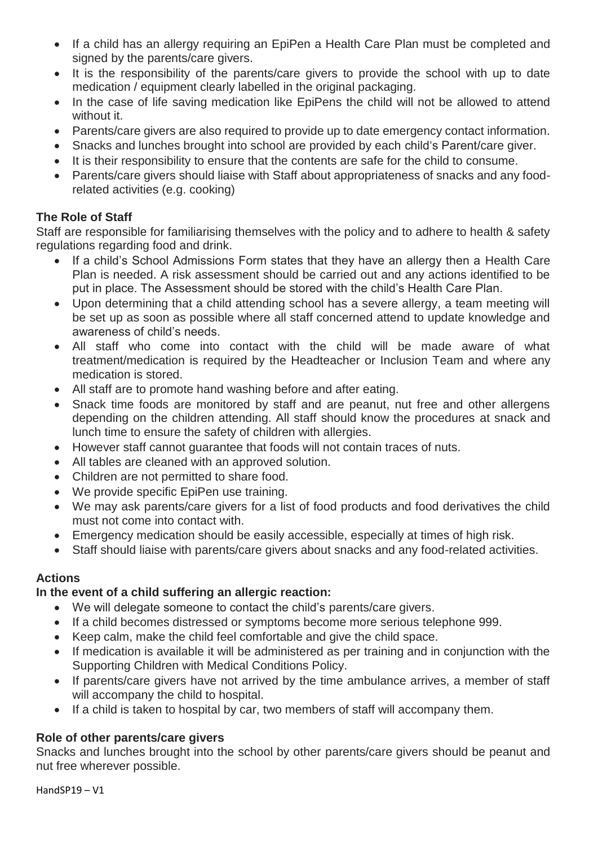- If a child has an allergy requiring an EpiPen a Health Care Plan must be completed and signed by the parents/care givers.
- It is the responsibility of the parents/care givers to provide the school with up to date medication / equipment clearly labelled in the original packaging.
- In the case of life saving medication like EpiPens the child will not be allowed to attend without it.
- Parents/care givers are also required to provide up to date emergency contact information.
- Snacks and lunches brought into school are provided by each child's Parent/care giver.
- It is their responsibility to ensure that the contents are safe for the child to consume.
- Parents/care givers should liaise with Staff about appropriateness of snacks and any foodrelated activities (e.g. cooking)

#### **The Role of Staff**

Staff are responsible for familiarising themselves with the policy and to adhere to health & safety regulations regarding food and drink.

- If a child's School Admissions Form states that they have an allergy then a Health Care Plan is needed. A risk assessment should be carried out and any actions identified to be put in place. The Assessment should be stored with the child's Health Care Plan.
- Upon determining that a child attending school has a severe allergy, a team meeting will be set up as soon as possible where all staff concerned attend to update knowledge and awareness of child's needs.
- All staff who come into contact with the child will be made aware of what treatment/medication is required by the Headteacher or Inclusion Team and where any medication is stored.
- All staff are to promote hand washing before and after eating.
- Snack time foods are monitored by staff and are peanut, nut free and other allergens depending on the children attending. All staff should know the procedures at snack and lunch time to ensure the safety of children with allergies.
- However staff cannot guarantee that foods will not contain traces of nuts.
- All tables are cleaned with an approved solution.
- Children are not permitted to share food.
- We provide specific EpiPen use training.
- We may ask parents/care givers for a list of food products and food derivatives the child must not come into contact with.
- Emergency medication should be easily accessible, especially at times of high risk.
- Staff should liaise with parents/care givers about snacks and any food-related activities.

#### **Actions**

#### **In the event of a child suffering an allergic reaction:**

- We will delegate someone to contact the child's parents/care givers.
- If a child becomes distressed or symptoms become more serious telephone 999.
- Keep calm, make the child feel comfortable and give the child space.
- If medication is available it will be administered as per training and in conjunction with the Supporting Children with Medical Conditions Policy.
- If parents/care givers have not arrived by the time ambulance arrives, a member of staff will accompany the child to hospital.
- If a child is taken to hospital by car, two members of staff will accompany them.

# **Role of other parents/care givers**

Snacks and lunches brought into the school by other parents/care givers should be peanut and nut free wherever possible.